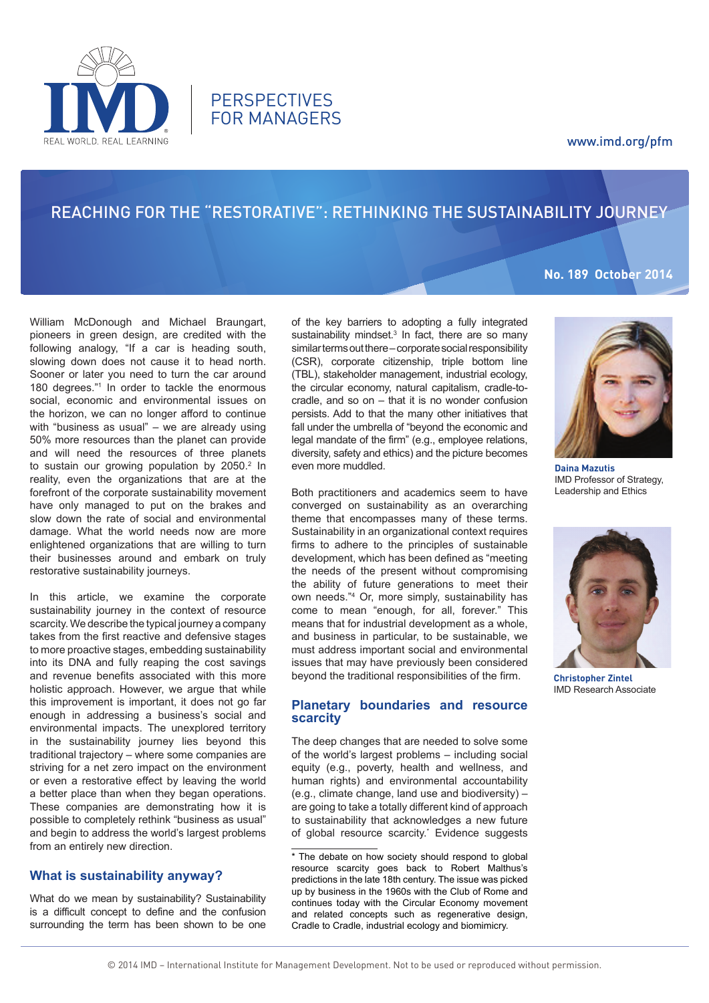

# reaching for the "reStorative": Rethinking the Sustainability journey

**PERSPECTIVES** FOR MANAGERS

# **No. 189 October 2014**

William McDonough and Michael Braungart, pioneers in green design, are credited with the following analogy, "If a car is heading south, slowing down does not cause it to head north. Sooner or later you need to turn the car around 180 degrees."1 In order to tackle the enormous social, economic and environmental issues on the horizon, we can no longer afford to continue with "business as usual" – we are already using 50% more resources than the planet can provide and will need the resources of three planets to sustain our growing population by 2050.<sup>2</sup> In reality, even the organizations that are at the forefront of the corporate sustainability movement have only managed to put on the brakes and slow down the rate of social and environmental damage. What the world needs now are more enlightened organizations that are willing to turn their businesses around and embark on truly restorative sustainability journeys.

REAL WORLD REAL LEARNING

In this article, we examine the corporate sustainability journey in the context of resource scarcity. We describe the typical journey a company takes from the first reactive and defensive stages to more proactive stages, embedding sustainability into its DNA and fully reaping the cost savings and revenue benefits associated with this more holistic approach. However, we argue that while this improvement is important, it does not go far enough in addressing a business's social and environmental impacts. The unexplored territory in the sustainability journey lies beyond this traditional trajectory – where some companies are striving for a net zero impact on the environment or even a restorative effect by leaving the world a better place than when they began operations. These companies are demonstrating how it is possible to completely rethink "business as usual" and begin to address the world's largest problems from an entirely new direction.

# **What is sustainability anyway?**

What do we mean by sustainability? Sustainability is a difficult concept to define and the confusion surrounding the term has been shown to be one of the key barriers to adopting a fully integrated sustainability mindset. $3$  In fact, there are so many similar terms out there – corporate social responsibility (CSR), corporate citizenship, triple bottom line (TBL), stakeholder management, industrial ecology, the circular economy, natural capitalism, cradle-tocradle, and so on – that it is no wonder confusion persists. Add to that the many other initiatives that fall under the umbrella of "beyond the economic and legal mandate of the firm" (e.g., employee relations, diversity, safety and ethics) and the picture becomes even more muddled.

Both practitioners and academics seem to have converged on sustainability as an overarching theme that encompasses many of these terms. Sustainability in an organizational context requires firms to adhere to the principles of sustainable development, which has been defined as "meeting the needs of the present without compromising the ability of future generations to meet their own needs."4 Or, more simply, sustainability has come to mean "enough, for all, forever." This means that for industrial development as a whole, and business in particular, to be sustainable, we must address important social and environmental issues that may have previously been considered beyond the traditional responsibilities of the firm.

# **Planetary boundaries and resource scarcity**

The deep changes that are needed to solve some of the world's largest problems – including social equity (e.g., poverty, health and wellness, and human rights) and environmental accountability (e.g., climate change, land use and biodiversity) – are going to take a totally different kind of approach to sustainability that acknowledges a new future of global resource scarcity.<sup>\*</sup> Evidence suggests

\* The debate on how society should respond to global resource scarcity goes back to Robert Malthus's predictions in the late 18th century. The issue was picked up by business in the 1960s with the Club of Rome and continues today with the Circular Economy movement and related concepts such as regenerative design, Cradle to Cradle, industrial ecology and biomimicry.



**Daina Mazutis** IMD Professor of Strategy, Leadership and Ethics



**Christopher Zintel** IMD Research Associate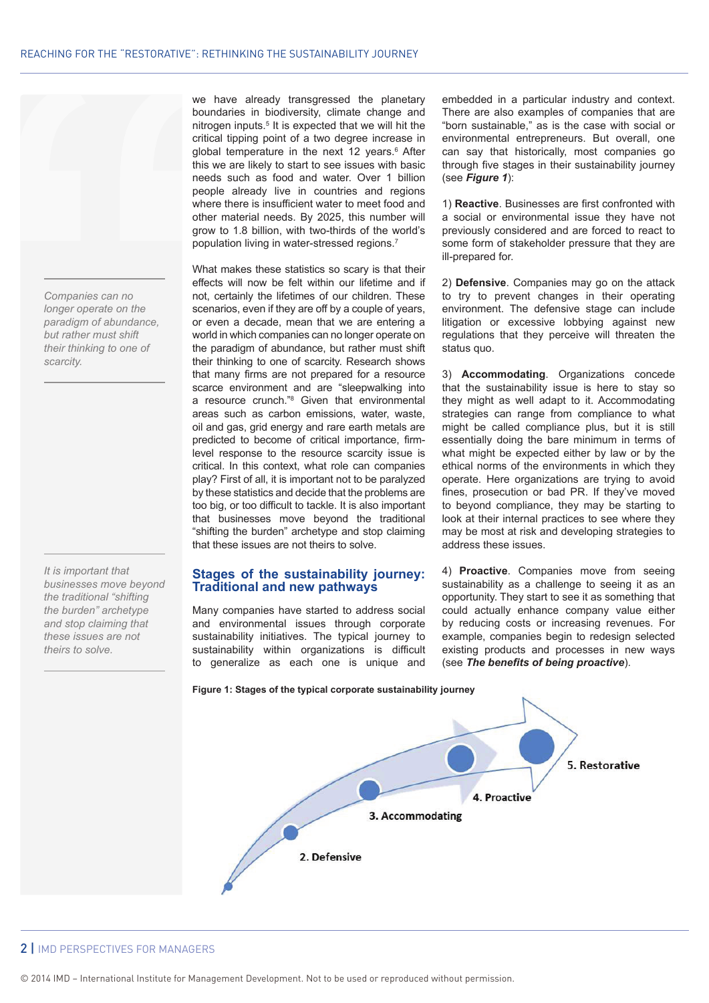*Companies can no longer operate on the paradigm of abundance, but rather must shift their thinking to one of scarcity.*

*It is important that businesses move beyond the traditional "shifting the burden" archetype and stop claiming that these issues are not theirs to solve.*

we have already transgressed the planetary boundaries in biodiversity, climate change and nitrogen inputs.<sup>5</sup> It is expected that we will hit the critical tipping point of a two degree increase in global temperature in the next 12 years.<sup>6</sup> After this we are likely to start to see issues with basic needs such as food and water. Over 1 billion people already live in countries and regions where there is insufficient water to meet food and other material needs. By 2025, this number will grow to 1.8 billion, with two-thirds of the world's population living in water-stressed regions.7

What makes these statistics so scary is that their effects will now be felt within our lifetime and if not, certainly the lifetimes of our children. These scenarios, even if they are off by a couple of years, or even a decade, mean that we are entering a world in which companies can no longer operate on the paradigm of abundance, but rather must shift their thinking to one of scarcity. Research shows that many firms are not prepared for a resource scarce environment and are "sleepwalking into a resource crunch."8 Given that environmental areas such as carbon emissions, water, waste, oil and gas, grid energy and rare earth metals are predicted to become of critical importance, firmlevel response to the resource scarcity issue is critical. In this context, what role can companies play? First of all, it is important not to be paralyzed by these statistics and decide that the problems are too big, or too difficult to tackle. It is also important that businesses move beyond the traditional "shifting the burden" archetype and stop claiming that these issues are not theirs to solve.

## **Stages of the sustainability journey: Traditional and new pathways**

Many companies have started to address social and environmental issues through corporate sustainability initiatives. The typical journey to sustainability within organizations is difficult to generalize as each one is unique and embedded in a particular industry and context. There are also examples of companies that are "born sustainable," as is the case with social or environmental entrepreneurs. But overall, one can say that historically, most companies go through five stages in their sustainability journey (see *Figure 1*):

1) **Reactive**. Businesses are first confronted with a social or environmental issue they have not previously considered and are forced to react to some form of stakeholder pressure that they are ill-prepared for.

2) **Defensive**. Companies may go on the attack to try to prevent changes in their operating environment. The defensive stage can include litigation or excessive lobbying against new regulations that they perceive will threaten the status quo.

3) **Accommodating**. Organizations concede that the sustainability issue is here to stay so they might as well adapt to it. Accommodating strategies can range from compliance to what might be called compliance plus, but it is still essentially doing the bare minimum in terms of what might be expected either by law or by the ethical norms of the environments in which they operate. Here organizations are trying to avoid fines, prosecution or bad PR. If they've moved to beyond compliance, they may be starting to look at their internal practices to see where they may be most at risk and developing strategies to address these issues.

4) **Proactive**. Companies move from seeing sustainability as a challenge to seeing it as an opportunity. They start to see it as something that could actually enhance company value either by reducing costs or increasing revenues. For example, companies begin to redesign selected existing products and processes in new ways (see *The benefits of being proactive*).



# 2 | IMD PERSPECTIVES FOR MANAGERS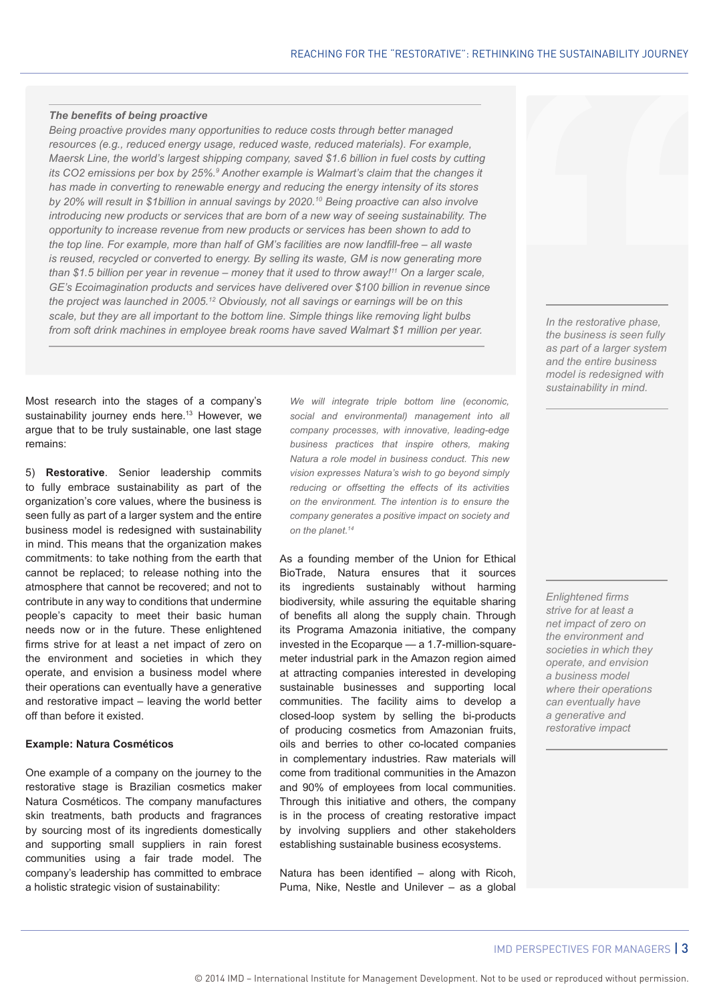#### *The benefits of being proactive*

*Being proactive provides many opportunities to reduce costs through better managed resources (e.g., reduced energy usage, reduced waste, reduced materials). For example, Maersk Line, the world's largest shipping company, saved \$1.6 billion in fuel costs by cutting its CO2 emissions per box by 25%.9 Another example is Walmart's claim that the changes it has made in converting to renewable energy and reducing the energy intensity of its stores by 20% will result in \$1billion in annual savings by 2020.10 Being proactive can also involve introducing new products or services that are born of a new way of seeing sustainability. The opportunity to increase revenue from new products or services has been shown to add to the top line. For example, more than half of GM's facilities are now landfill-free – all waste is reused, recycled or converted to energy. By selling its waste, GM is now generating more than \$1.5 billion per year in revenue – money that it used to throw away!11 On a larger scale, GE's Ecoimagination products and services have delivered over \$100 billion in revenue since the project was launched in 2005.12 Obviously, not all savings or earnings will be on this scale, but they are all important to the bottom line. Simple things like removing light bulbs from soft drink machines in employee break rooms have saved Walmart \$1 million per year.* 

Most research into the stages of a company's sustainability journey ends here.<sup>13</sup> However, we argue that to be truly sustainable, one last stage remains:

5) **Restorative**. Senior leadership commits to fully embrace sustainability as part of the organization's core values, where the business is seen fully as part of a larger system and the entire business model is redesigned with sustainability in mind. This means that the organization makes commitments: to take nothing from the earth that cannot be replaced; to release nothing into the atmosphere that cannot be recovered; and not to contribute in any way to conditions that undermine people's capacity to meet their basic human needs now or in the future. These enlightened firms strive for at least a net impact of zero on the environment and societies in which they operate, and envision a business model where their operations can eventually have a generative and restorative impact – leaving the world better off than before it existed.

#### **Example: Natura Cosméticos**

One example of a company on the journey to the restorative stage is Brazilian cosmetics maker Natura Cosméticos. The company manufactures skin treatments, bath products and fragrances by sourcing most of its ingredients domestically and supporting small suppliers in rain forest communities using a fair trade model. The company's leadership has committed to embrace a holistic strategic vision of sustainability:

*We will integrate triple bottom line (economic, social and environmental) management into all company processes, with innovative, leading-edge business practices that inspire others, making Natura a role model in business conduct. This new vision expresses Natura's wish to go beyond simply reducing or offsetting the effects of its activities on the environment. The intention is to ensure the company generates a positive impact on society and on the planet.14*

As a founding member of the Union for Ethical BioTrade, Natura ensures that it sources its ingredients sustainably without harming biodiversity, while assuring the equitable sharing of benefits all along the supply chain. Through its Programa Amazonia initiative, the company invested in the Ecoparque — a 1.7-million-squaremeter industrial park in the Amazon region aimed at attracting companies interested in developing sustainable businesses and supporting local communities. The facility aims to develop a closed-loop system by selling the bi-products of producing cosmetics from Amazonian fruits, oils and berries to other co-located companies in complementary industries. Raw materials will come from traditional communities in the Amazon and 90% of employees from local communities. Through this initiative and others, the company is in the process of creating restorative impact by involving suppliers and other stakeholders establishing sustainable business ecosystems.

Natura has been identified – along with Ricoh, Puma, Nike, Nestle and Unilever – as a global *In the restorative phase, the business is seen fully as part of a larger system and the entire business model is redesigned with sustainability in mind.* 

*Enlightened firms strive for at least a net impact of zero on the environment and societies in which they operate, and envision a business model where their operations can eventually have a generative and restorative impact*